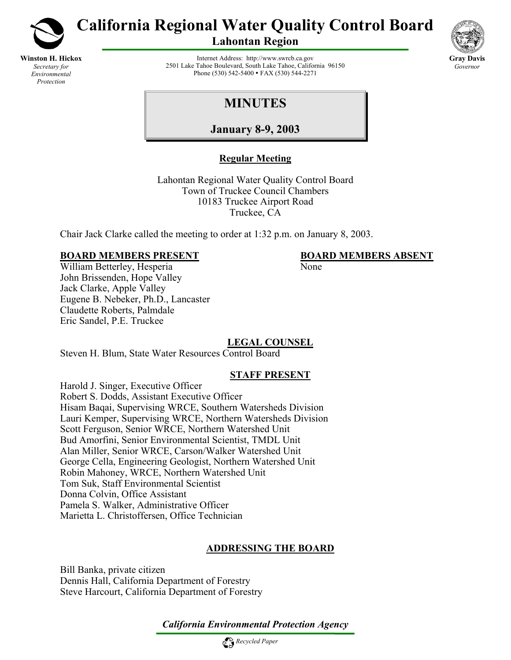

**Winston H. Hickox** *Secretary for Environmental Protection*

# **California Regional Water Quality Control Board**

**Lahontan Region** 



Internet Address: http://www.swrcb.ca.gov 2501 Lake Tahoe Boulevard, South Lake Tahoe, California 96150 Phone (530) 542-5400 • FAX (530) 544-2271

## **MINUTES**

**January 8-9, 2003**

## **Regular Meeting**

Lahontan Regional Water Quality Control Board Town of Truckee Council Chambers 10183 Truckee Airport Road Truckee, CA

Chair Jack Clarke called the meeting to order at 1:32 p.m. on January 8, 2003.

#### **BOARD MEMBERS PRESENT BOARD MEMBERS ABSENT**

William Betterley, Hesperia None John Brissenden, Hope Valley Jack Clarke, Apple Valley Eugene B. Nebeker, Ph.D., Lancaster Claudette Roberts, Palmdale Eric Sandel, P.E. Truckee

## **LEGAL COUNSEL**

Steven H. Blum, State Water Resources Control Board

## **STAFF PRESENT**

Harold J. Singer, Executive Officer Robert S. Dodds, Assistant Executive Officer Hisam Baqai, Supervising WRCE, Southern Watersheds Division Lauri Kemper, Supervising WRCE, Northern Watersheds Division Scott Ferguson, Senior WRCE, Northern Watershed Unit Bud Amorfini, Senior Environmental Scientist, TMDL Unit Alan Miller, Senior WRCE, Carson/Walker Watershed Unit George Cella, Engineering Geologist, Northern Watershed Unit Robin Mahoney, WRCE, Northern Watershed Unit Tom Suk, Staff Environmental Scientist Donna Colvin, Office Assistant Pamela S. Walker, Administrative Officer Marietta L. Christoffersen, Office Technician

## **ADDRESSING THE BOARD**

Bill Banka, private citizen Dennis Hall, California Department of Forestry Steve Harcourt, California Department of Forestry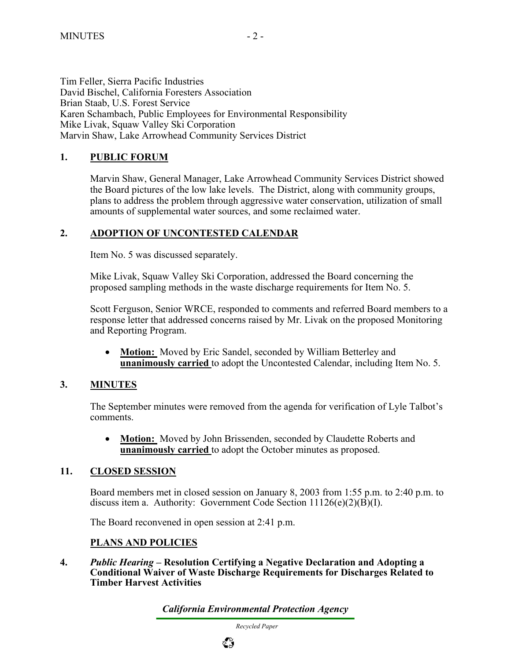Tim Feller, Sierra Pacific Industries David Bischel, California Foresters Association Brian Staab, U.S. Forest Service Karen Schambach, Public Employees for Environmental Responsibility Mike Livak, Squaw Valley Ski Corporation Marvin Shaw, Lake Arrowhead Community Services District

### **1. PUBLIC FORUM**

Marvin Shaw, General Manager, Lake Arrowhead Community Services District showed the Board pictures of the low lake levels. The District, along with community groups, plans to address the problem through aggressive water conservation, utilization of small amounts of supplemental water sources, and some reclaimed water.

#### **2. ADOPTION OF UNCONTESTED CALENDAR**

Item No. 5 was discussed separately.

Mike Livak, Squaw Valley Ski Corporation, addressed the Board concerning the proposed sampling methods in the waste discharge requirements for Item No. 5.

Scott Ferguson, Senior WRCE, responded to comments and referred Board members to a response letter that addressed concerns raised by Mr. Livak on the proposed Monitoring and Reporting Program.

• **Motion:** Moved by Eric Sandel, seconded by William Betterley and **unanimously carried** to adopt the Uncontested Calendar, including Item No. 5.

#### **3. MINUTES**

The September minutes were removed from the agenda for verification of Lyle Talbot's comments.

• **Motion:** Moved by John Brissenden, seconded by Claudette Roberts and **unanimously carried** to adopt the October minutes as proposed.

#### **11. CLOSED SESSION**

Board members met in closed session on January 8, 2003 from 1:55 p.m. to 2:40 p.m. to discuss item a. Authority: Government Code Section  $11126(e)(2)(B)(I)$ .

The Board reconvened in open session at 2:41 p.m.

#### **PLANS AND POLICIES**

**4.** *Public Hearing* **– Resolution Certifying a Negative Declaration and Adopting a Conditional Waiver of Waste Discharge Requirements for Discharges Related to Timber Harvest Activities** 

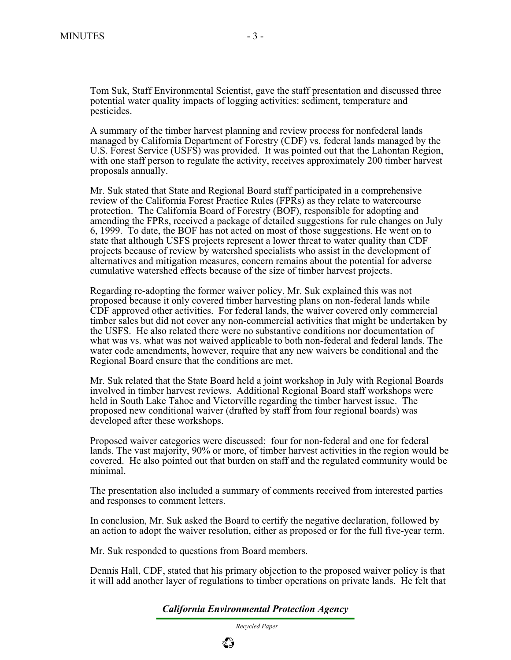Tom Suk, Staff Environmental Scientist, gave the staff presentation and discussed three potential water quality impacts of logging activities: sediment, temperature and pesticides.

A summary of the timber harvest planning and review process for nonfederal lands managed by California Department of Forestry (CDF) vs. federal lands managed by the U.S. Forest Service (USFS) was provided. It was pointed out that the Lahontan Region, with one staff person to regulate the activity, receives approximately 200 timber harvest proposals annually.

Mr. Suk stated that State and Regional Board staff participated in a comprehensive review of the California Forest Practice Rules (FPRs) as they relate to watercourse protection. The California Board of Forestry (BOF), responsible for adopting and amending the FPRs, received a package of detailed suggestions for rule changes on July 6, 1999. To date, the BOF has not acted on most of those suggestions. He went on to state that although USFS projects represent a lower threat to water quality than CDF projects because of review by watershed specialists who assist in the development of alternatives and mitigation measures, concern remains about the potential for adverse cumulative watershed effects because of the size of timber harvest projects.

Regarding re-adopting the former waiver policy, Mr. Suk explained this was not proposed because it only covered timber harvesting plans on non-federal lands while CDF approved other activities. For federal lands, the waiver covered only commercial timber sales but did not cover any non-commercial activities that might be undertaken by the USFS. He also related there were no substantive conditions nor documentation of what was vs. what was not waived applicable to both non-federal and federal lands. The water code amendments, however, require that any new waivers be conditional and the Regional Board ensure that the conditions are met.

Mr. Suk related that the State Board held a joint workshop in July with Regional Boards involved in timber harvest reviews. Additional Regional Board staff workshops were held in South Lake Tahoe and Victorville regarding the timber harvest issue. The proposed new conditional waiver (drafted by staff from four regional boards) was developed after these workshops.

Proposed waiver categories were discussed: four for non-federal and one for federal lands. The vast majority, 90% or more, of timber harvest activities in the region would be covered. He also pointed out that burden on staff and the regulated community would be minimal.

The presentation also included a summary of comments received from interested parties and responses to comment letters.

In conclusion, Mr. Suk asked the Board to certify the negative declaration, followed by an action to adopt the waiver resolution, either as proposed or for the full five-year term. Mr. Suk responded to questions from Board members.

Dennis Hall, CDF, stated that his primary objection to the proposed waiver policy is that it will add another layer of regulations to timber operations on private lands. He felt that

*California Environmental Protection Agency*

 *Recycled Paper*

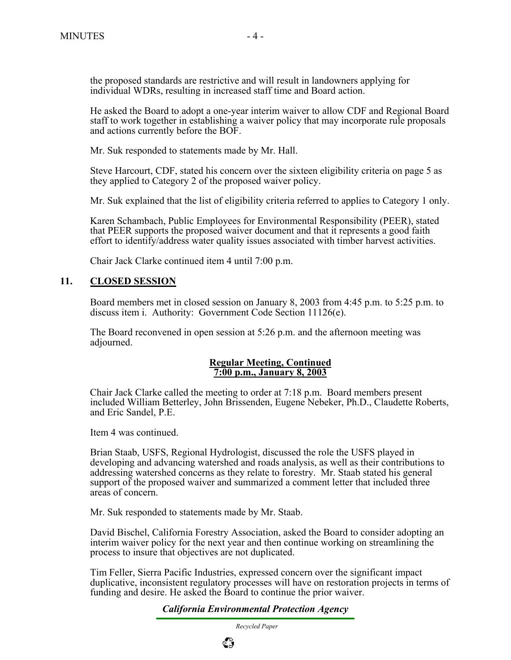the proposed standards are restrictive and will result in landowners applying for individual WDRs, resulting in increased staff time and Board action.

He asked the Board to adopt a one-year interim waiver to allow CDF and Regional Board staff to work together in establishing a waiver policy that may incorporate rule proposals and actions currently before the BOF.

Mr. Suk responded to statements made by Mr. Hall.

Steve Harcourt, CDF, stated his concern over the sixteen eligibility criteria on page 5 as they applied to Category 2 of the proposed waiver policy.

Mr. Suk explained that the list of eligibility criteria referred to applies to Category 1 only.

Karen Schambach, Public Employees for Environmental Responsibility (PEER), stated that PEER supports the proposed waiver document and that it represents a good faith effort to identify/address water quality issues associated with timber harvest activities.

Chair Jack Clarke continued item 4 until 7:00 p.m.

#### **11. CLOSED SESSION**

Board members met in closed session on January 8, 2003 from 4:45 p.m. to 5:25 p.m. to discuss item i. Authority: Government Code Section 11126(e).

The Board reconvened in open session at 5:26 p.m. and the afternoon meeting was adjourned.

#### **Regular Meeting, Continued 7:00 p.m., January 8, 2003**

 Chair Jack Clarke called the meeting to order at 7:18 p.m. Board members present included William Betterley, John Brissenden, Eugene Nebeker, Ph.D., Claudette Roberts, and Eric Sandel, P.E.

Item 4 was continued.

Brian Staab, USFS, Regional Hydrologist, discussed the role the USFS played in developing and advancing watershed and roads analysis, as well as their contributions to addressing watershed concerns as they relate to forestry. Mr. Staab stated his general support of the proposed waiver and summarized a comment letter that included three areas of concern.

Mr. Suk responded to statements made by Mr. Staab.

David Bischel, California Forestry Association, asked the Board to consider adopting an interim waiver policy for the next year and then continue working on streamlining the process to insure that objectives are not duplicated.

Tim Feller, Sierra Pacific Industries, expressed concern over the significant impact duplicative, inconsistent regulatory processes will have on restoration projects in terms of funding and desire. He asked the Board to continue the prior waiver.

*California Environmental Protection Agency*

 *Recycled Paper*

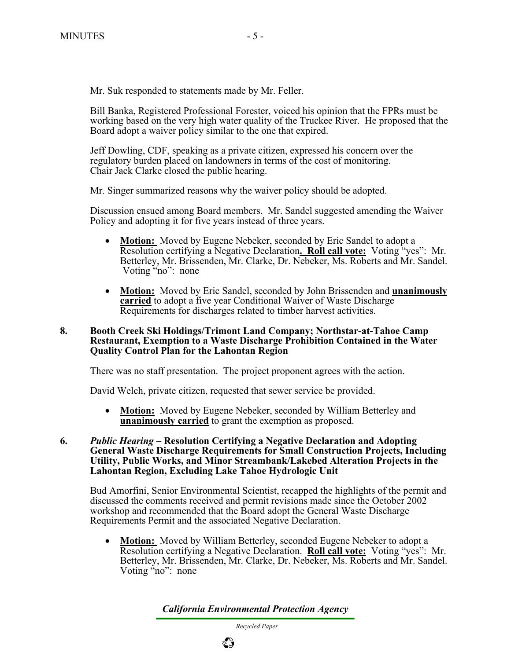Mr. Suk responded to statements made by Mr. Feller.

Bill Banka, Registered Professional Forester, voiced his opinion that the FPRs must be working based on the very high water quality of the Truckee River. He proposed that the Board adopt a waiver policy similar to the one that expired.

Jeff Dowling, CDF, speaking as a private citizen, expressed his concern over the regulatory burden placed on landowners in terms of the cost of monitoring. Chair Jack Clarke closed the public hearing.

Mr. Singer summarized reasons why the waiver policy should be adopted.

Discussion ensued among Board members. Mr. Sandel suggested amending the Waiver Policy and adopting it for five years instead of three years.

- **Motion:** Moved by Eugene Nebeker, seconded by Eric Sandel to adopt a Resolution certifying a Negative Declaration**. Roll call vote:** Voting "yes": Mr. Betterley, Mr. Brissenden, Mr. Clarke, Dr. Nebeker, Ms. Roberts and Mr. Sandel. Voting "no": none
- **Motion:** Moved by Eric Sandel, seconded by John Brissenden and **unanimously carried** to adopt a five year Conditional Waiver of Waste Discharge Requirements for discharges related to timber harvest activities.

#### **8. Booth Creek Ski Holdings/Trimont Land Company; Northstar-at-Tahoe Camp Restaurant, Exemption to a Waste Discharge Prohibition Contained in the Water Quality Control Plan for the Lahontan Region**

There was no staff presentation. The project proponent agrees with the action.

David Welch, private citizen, requested that sewer service be provided.

• **Motion:** Moved by Eugene Nebeker, seconded by William Betterley and **unanimously carried** to grant the exemption as proposed.

#### **6.** *Public Hearing* **– Resolution Certifying a Negative Declaration and Adopting General Waste Discharge Requirements for Small Construction Projects, Including Utility, Public Works, and Minor Streambank/Lakebed Alteration Projects in the Lahontan Region, Excluding Lake Tahoe Hydrologic Unit**

Bud Amorfini, Senior Environmental Scientist, recapped the highlights of the permit and discussed the comments received and permit revisions made since the October 2002 workshop and recommended that the Board adopt the General Waste Discharge Requirements Permit and the associated Negative Declaration.

• **Motion:** Moved by William Betterley, seconded Eugene Nebeker to adopt a Resolution certifying a Negative Declaration. **Roll call vote:** Voting "yes": Mr. Betterley, Mr. Brissenden, Mr. Clarke, Dr. Nebeker, Ms. Roberts and Mr. Sandel. Voting "no": none

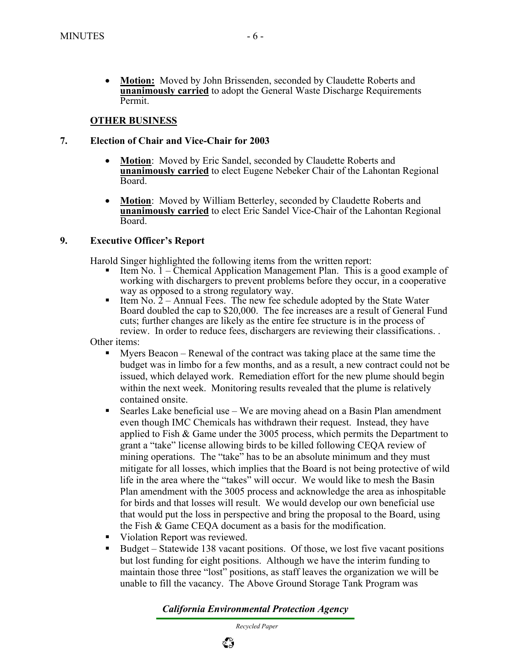• **Motion:** Moved by John Brissenden, seconded by Claudette Roberts and **unanimously carried** to adopt the General Waste Discharge Requirements Permit.

#### **OTHER BUSINESS**

#### **7. Election of Chair and Vice-Chair for 2003**

- **Motion**: Moved by Eric Sandel, seconded by Claudette Roberts and **unanimously carried** to elect Eugene Nebeker Chair of the Lahontan Regional Board.
- **Motion**: Moved by William Betterley, seconded by Claudette Roberts and **unanimously carried** to elect Eric Sandel Vice-Chair of the Lahontan Regional Board.

#### **9. Executive Officer's Report**

Harold Singer highlighted the following items from the written report:

- Item No. 1 Chemical Application Management Plan. This is a good example of working with dischargers to prevent problems before they occur, in a cooperative way as opposed to a strong regulatory way.
- Item  $\text{No. } 2 \text{Annual Fees.}$  The new fee schedule adopted by the State Water Board doubled the cap to \$20,000. The fee increases are a result of General Fund cuts; further changes are likely as the entire fee structure is in the process of review. In order to reduce fees, dischargers are reviewing their classifications. .

Other items:

- Myers Beacon Renewal of the contract was taking place at the same time the budget was in limbo for a few months, and as a result, a new contract could not be issued, which delayed work. Remediation effort for the new plume should begin within the next week. Monitoring results revealed that the plume is relatively contained onsite.
- Searles Lake beneficial use We are moving ahead on a Basin Plan amendment even though IMC Chemicals has withdrawn their request. Instead, they have applied to Fish  $\&$  Game under the 3005 process, which permits the Department to grant a "take" license allowing birds to be killed following CEQA review of mining operations. The "take" has to be an absolute minimum and they must mitigate for all losses, which implies that the Board is not being protective of wild life in the area where the "takes" will occur. We would like to mesh the Basin Plan amendment with the 3005 process and acknowledge the area as inhospitable for birds and that losses will result. We would develop our own beneficial use that would put the loss in perspective and bring the proposal to the Board, using the Fish & Game CEQA document as a basis for the modification.
- Violation Report was reviewed.
- Budget Statewide 138 vacant positions. Of those, we lost five vacant positions but lost funding for eight positions. Although we have the interim funding to maintain those three "lost" positions, as staff leaves the organization we will be unable to fill the vacancy. The Above Ground Storage Tank Program was

*California Environmental Protection Agency*

 *Recycled Paper*